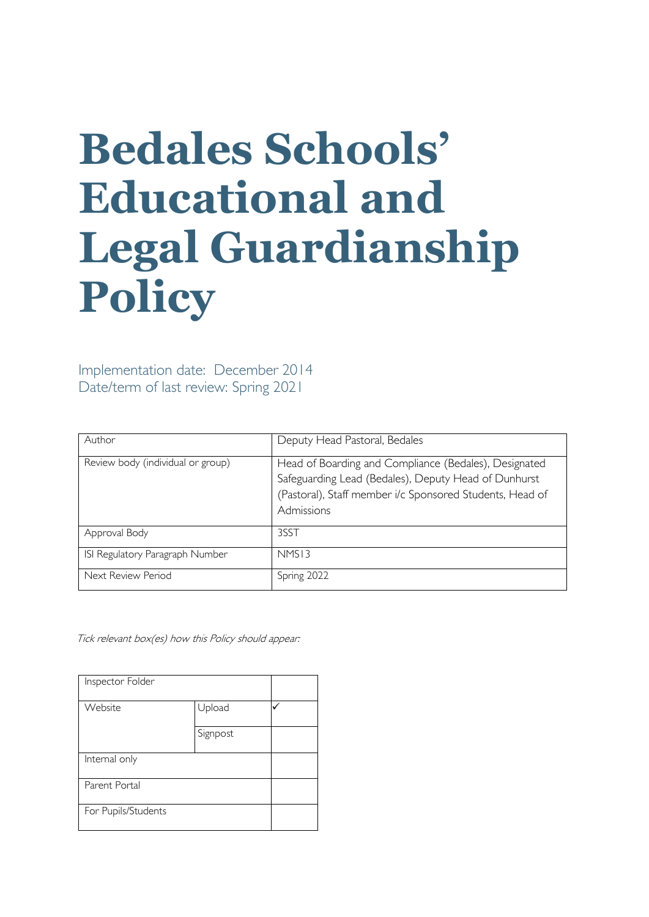# **Bedales Schools' Educational and Legal Guardianship Policy**

Implementation date: December 2014 Date/term of last review: Spring 2021

| Author                            | Deputy Head Pastoral, Bedales                                                                                                                                                           |
|-----------------------------------|-----------------------------------------------------------------------------------------------------------------------------------------------------------------------------------------|
| Review body (individual or group) | Head of Boarding and Compliance (Bedales), Designated<br>Safeguarding Lead (Bedales), Deputy Head of Dunhurst<br>(Pastoral), Staff member i/c Sponsored Students, Head of<br>Admissions |
| Approval Body                     | 3SST                                                                                                                                                                                    |
| ISI Regulatory Paragraph Number   | NMS13                                                                                                                                                                                   |
| Next Review Period                | Spring 2022                                                                                                                                                                             |

Tick relevant box(es) how this Policy should appear:

| Inspector Folder    |          |  |
|---------------------|----------|--|
| Website             | Upload   |  |
|                     | Signpost |  |
| Internal only       |          |  |
| Parent Portal       |          |  |
| For Pupils/Students |          |  |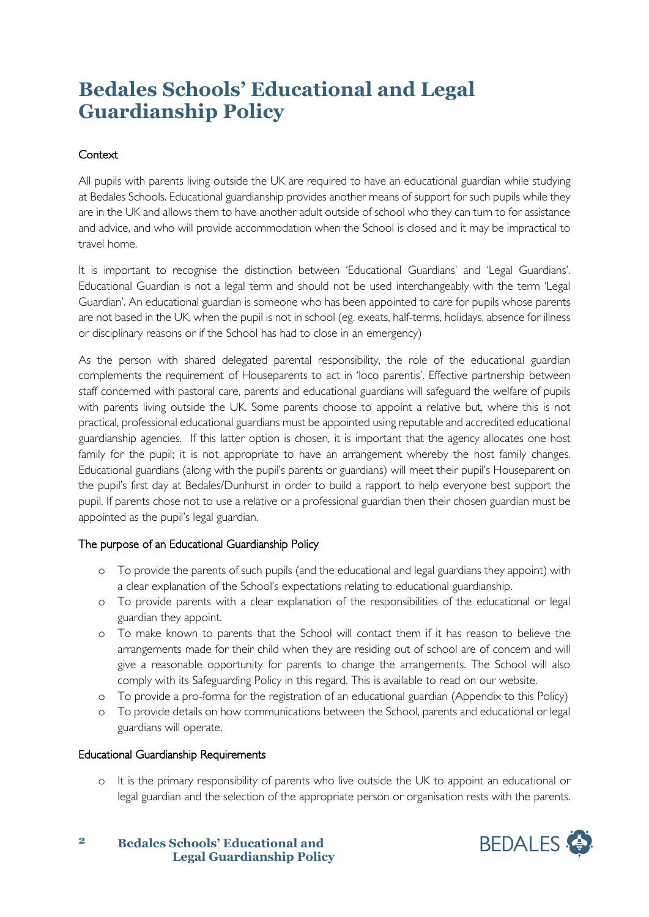## **Bedales Schools' Educational and Legal Guardianship Policy**

### **Context**

All pupils with parents living outside the UK are required to have an educational guardian while studying at Bedales Schools. Educational guardianship provides another means of support for such pupils while they are in the UK and allows them to have another adult outside of school who they can turn to for assistance and advice, and who will provide accommodation when the School is closed and it may be impractical to travel home.

It is important to recognise the distinction between 'Educational Guardians' and 'Legal Guardians'. Educational Guardian is not a legal term and should not be used interchangeably with the term 'Legal Guardian'. An educational guardian is someone who has been appointed to care for pupils whose parents are not based in the UK, when the pupil is not in school (eg. exeats, half-terms, holidays, absence for illness or disciplinary reasons or if the School has had to close in an emergency)

As the person with shared delegated parental responsibility, the role of the educational guardian complements the requirement of Houseparents to act in 'loco parentis'. Effective partnership between staff concerned with pastoral care, parents and educational guardians will safeguard the welfare of pupils with parents living outside the UK. Some parents choose to appoint a relative but, where this is not practical, professional educational guardians must be appointed using reputable and accredited educational guardianship agencies. If this latter option is chosen, it is important that the agency allocates one host family for the pupil; it is not appropriate to have an arrangement whereby the host family changes. Educational guardians (along with the pupil's parents or guardians) will meet their pupil's Houseparent on the pupil's first day at Bedales/Dunhurst in order to build a rapport to help everyone best support the pupil. If parents chose not to use a relative or a professional guardian then their chosen guardian must be appointed as the pupil's legal guardian.

#### The purpose of an Educational Guardianship Policy

- o To provide the parents of such pupils (and the educational and legal guardians they appoint) with a clear explanation of the School's expectations relating to educational guardianship.
- o To provide parents with a clear explanation of the responsibilities of the educational or legal guardian they appoint.
- o To make known to parents that the School will contact them if it has reason to believe the arrangements made for their child when they are residing out of school are of concern and will give a reasonable opportunity for parents to change the arrangements. The School will also comply with its Safeguarding Policy in this regard. This is available to read on our website.
- o To provide a pro-forma for the registration of an educational guardian (Appendix to this Policy)
- o To provide details on how communications between the School, parents and educational or legal guardians will operate.

#### Educational Guardianship Requirements

o It is the primary responsibility of parents who live outside the UK to appoint an educational or legal guardian and the selection of the appropriate person or organisation rests with the parents.



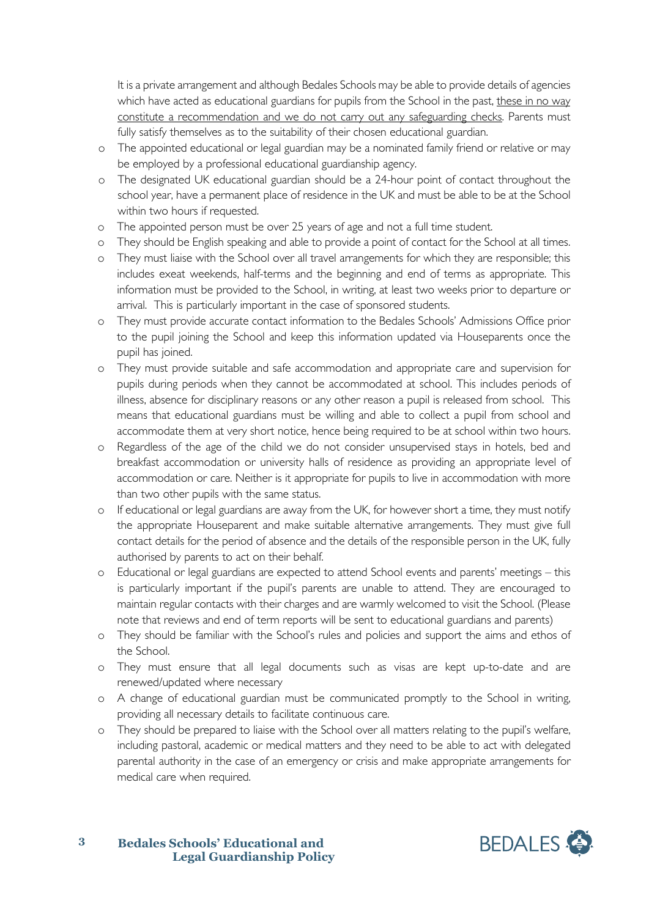It is a private arrangement and although Bedales Schools may be able to provide details of agencies which have acted as educational guardians for pupils from the School in the past, these in no way constitute a recommendation and we do not carry out any safeguarding checks. Parents must fully satisfy themselves as to the suitability of their chosen educational guardian.

- o The appointed educational or legal guardian may be a nominated family friend or relative or may be employed by a professional educational guardianship agency.
- o The designated UK educational guardian should be a 24-hour point of contact throughout the school year, have a permanent place of residence in the UK and must be able to be at the School within two hours if requested.
- o The appointed person must be over 25 years of age and not a full time student.
- o They should be English speaking and able to provide a point of contact for the School at all times.
- o They must liaise with the School over all travel arrangements for which they are responsible; this includes exeat weekends, half-terms and the beginning and end of terms as appropriate. This information must be provided to the School, in writing, at least two weeks prior to departure or arrival. This is particularly important in the case of sponsored students.
- o They must provide accurate contact information to the Bedales Schools' Admissions Office prior to the pupil joining the School and keep this information updated via Houseparents once the pupil has joined.
- o They must provide suitable and safe accommodation and appropriate care and supervision for pupils during periods when they cannot be accommodated at school. This includes periods of illness, absence for disciplinary reasons or any other reason a pupil is released from school. This means that educational guardians must be willing and able to collect a pupil from school and accommodate them at very short notice, hence being required to be at school within two hours.
- o Regardless of the age of the child we do not consider unsupervised stays in hotels, bed and breakfast accommodation or university halls of residence as providing an appropriate level of accommodation or care. Neither is it appropriate for pupils to live in accommodation with more than two other pupils with the same status.
- o If educational or legal guardians are away from the UK, for however short a time, they must notify the appropriate Houseparent and make suitable alternative arrangements. They must give full contact details for the period of absence and the details of the responsible person in the UK, fully authorised by parents to act on their behalf.
- o Educational or legal guardians are expected to attend School events and parents' meetings this is particularly important if the pupil's parents are unable to attend. They are encouraged to maintain regular contacts with their charges and are warmly welcomed to visit the School. (Please note that reviews and end of term reports will be sent to educational guardians and parents)
- o They should be familiar with the School's rules and policies and support the aims and ethos of the School.
- o They must ensure that all legal documents such as visas are kept up-to-date and are renewed/updated where necessary
- o A change of educational guardian must be communicated promptly to the School in writing, providing all necessary details to facilitate continuous care.
- o They should be prepared to liaise with the School over all matters relating to the pupil's welfare, including pastoral, academic or medical matters and they need to be able to act with delegated parental authority in the case of an emergency or crisis and make appropriate arrangements for medical care when required.



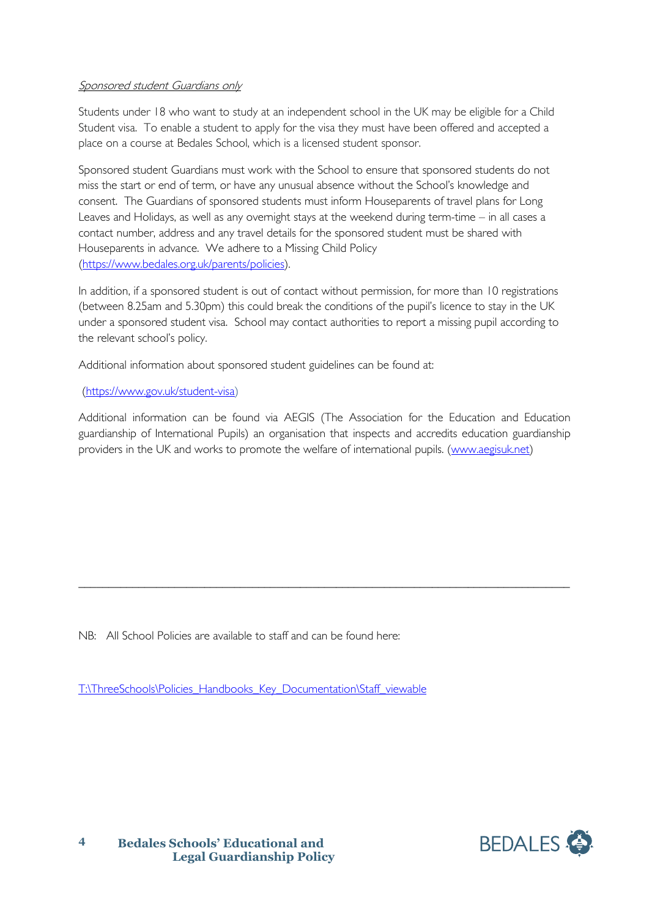#### Sponsored student Guardians only

Students under 18 who want to study at an independent school in the UK may be eligible for a Child Student visa. To enable a student to apply for the visa they must have been offered and accepted a place on a course at Bedales School, which is a licensed student sponsor.

Sponsored student Guardians must work with the School to ensure that sponsored students do not miss the start or end of term, or have any unusual absence without the School's knowledge and consent. The Guardians of sponsored students must inform Houseparents of travel plans for Long Leaves and Holidays, as well as any overnight stays at the weekend during term-time – in all cases a contact number, address and any travel details for the sponsored student must be shared with Houseparents in advance. We adhere to a Missing Child Policy [\(https://www.bedales.org.uk/parents/policies\)](https://www.bedales.org.uk/parents/policies).

In addition, if a sponsored student is out of contact without permission, for more than 10 registrations (between 8.25am and 5.30pm) this could break the conditions of the pupil's licence to stay in the UK under a sponsored student visa. School may contact authorities to report a missing pupil according to the relevant school's policy.

Additional information about sponsored student guidelines can be found at:

#### [\(https://www.gov.uk/student-visa\)](https://www.gov.uk/student-visa)

Additional information can be found via AEGIS (The Association for the Education and Education guardianship of International Pupils) an organisation that inspects and accredits education guardianship providers in the UK and works to promote the welfare of international pupils. [\(www.aegisuk.net\)](http://www.aegisuk.net/)

\_\_\_\_\_\_\_\_\_\_\_\_\_\_\_\_\_\_\_\_\_\_\_\_\_\_\_\_\_\_\_\_\_\_\_\_\_\_\_\_\_\_\_\_\_\_\_\_\_\_\_\_\_\_\_\_\_\_\_\_\_\_\_\_\_\_\_\_\_\_\_\_\_\_\_\_\_\_\_\_\_\_

NB: All School Policies are available to staff and can be found here:

[T:\ThreeSchools\Policies\\_Handbooks\\_Key\\_Documentation\Staff\\_viewable](file://vm-009-fs/root$/ThreeSchools/Policies_Handbooks_Key_Documentation/Staff_viewable)



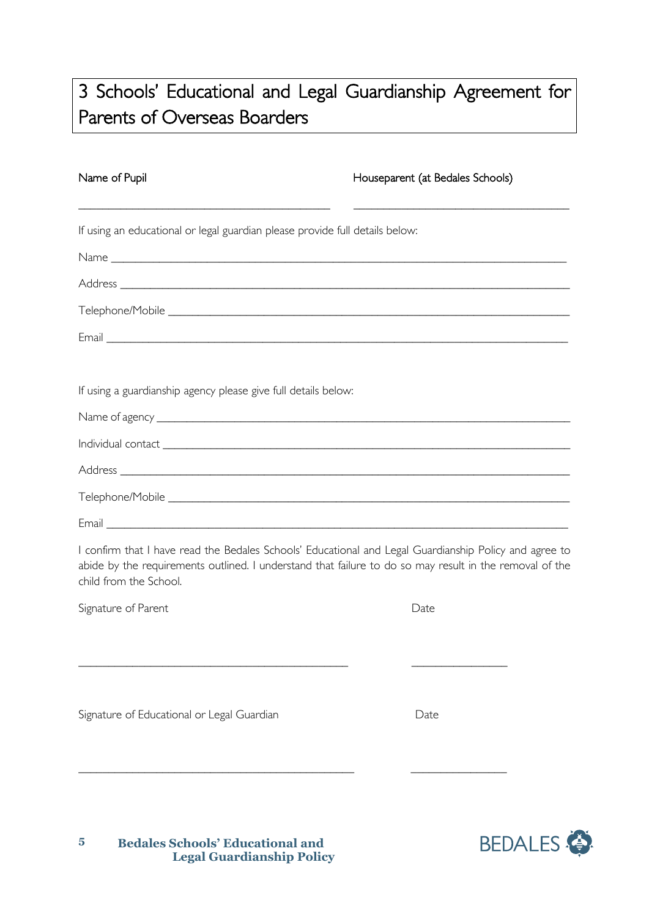## 3 Schools' Educational and Legal Guardianship Agreement for Parents of Overseas Boarders

\_\_\_\_\_\_\_\_\_\_\_\_\_\_\_\_\_\_\_\_\_\_\_\_\_\_\_\_\_\_\_\_\_\_\_\_\_\_\_\_\_\_ \_\_\_\_\_\_\_\_\_\_\_\_\_\_\_\_\_\_\_\_\_\_\_\_\_\_\_\_\_\_\_\_\_\_\_\_

Name of Pupil **Name of Pupil** Houseparent (at Bedales Schools)

If using an educational or legal guardian please provide full details below: Name \_\_\_\_\_\_\_\_\_\_\_\_\_\_\_\_\_\_\_\_\_\_\_\_\_\_\_\_\_\_\_\_\_\_\_\_\_\_\_\_\_\_\_\_\_\_\_\_\_\_\_\_\_\_\_\_\_\_\_\_\_\_\_\_\_\_\_\_\_\_\_\_\_\_\_\_ Address \_\_\_\_\_\_\_\_\_\_\_\_\_\_\_\_\_\_\_\_\_\_\_\_\_\_\_\_\_\_\_\_\_\_\_\_\_\_\_\_\_\_\_\_\_\_\_\_\_\_\_\_\_\_\_\_\_\_\_\_\_\_\_\_\_\_\_\_\_\_\_\_\_\_\_ Telephone/Mobile  $\blacksquare$ Email **Email Email Email Email Email Email Email Email Email Email Email Email Email Email Email Email Email Email Email Email Email Email Email Email Email Email Email** If using a guardianship agency please give full details below: Name of agency \_\_\_\_\_\_\_\_\_\_\_\_\_\_\_\_\_\_\_\_\_\_\_\_\_\_\_\_\_\_\_\_\_\_\_\_\_\_\_\_\_\_\_\_\_\_\_\_\_\_\_\_\_\_\_\_\_\_\_\_\_\_\_\_\_\_\_\_\_ Individual contact \_\_\_\_\_\_\_\_\_\_\_\_\_\_\_\_\_\_\_\_\_\_\_\_\_\_\_\_\_\_\_\_\_\_\_\_\_\_\_\_\_\_\_\_\_\_\_\_\_\_\_\_\_\_\_\_\_\_\_\_\_\_\_\_\_\_\_\_ Address  $\overline{A}$ Telephone/Mobile  $\Box$ Email  $\Box$ I confirm that I have read the Bedales Schools' Educational and Legal Guardianship Policy and agree to abide by the requirements outlined. I understand that failure to do so may result in the removal of the child from the School. Signature of Parent **Date** \_\_\_\_\_\_\_\_\_\_\_\_\_\_\_\_\_\_\_\_\_\_\_\_\_\_\_\_\_\_\_\_\_\_\_\_\_\_\_\_\_\_\_\_\_ \_\_\_\_\_\_\_\_\_\_\_\_\_\_\_\_ Signature of Educational or Legal Guardian **Date** Date

\_\_\_\_\_\_\_\_\_\_\_\_\_\_\_\_\_\_\_\_\_\_\_\_\_\_\_\_\_\_\_\_\_\_\_\_\_\_\_\_\_\_\_\_\_\_ \_\_\_\_\_\_\_\_\_\_\_\_\_\_\_\_

**Bedales Schools' Educational and Legal Guardianship Policy 5**